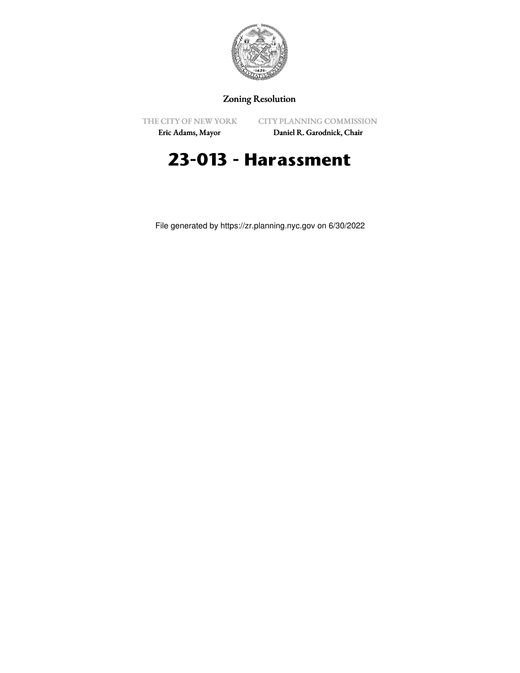

## Zoning Resolution

THE CITY OF NEW YORK

CITY PLANNING COMMISSION

Eric Adams, Mayor

Daniel R. Garodnick, Chair

## **23-013 - Harassment**

File generated by https://zr.planning.nyc.gov on 6/30/2022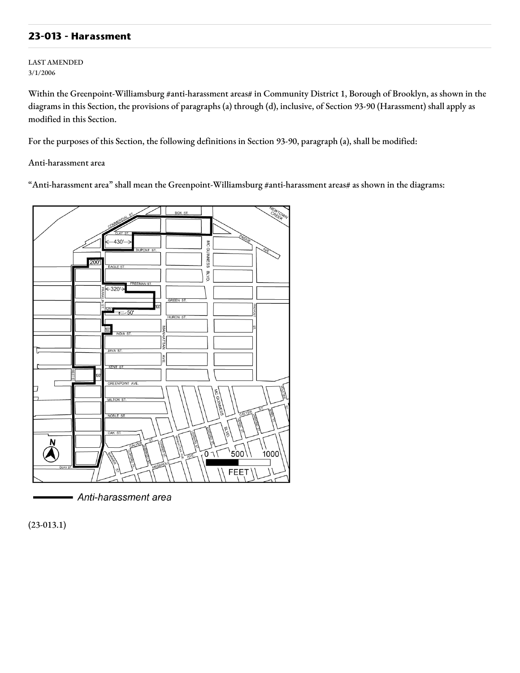## **23-013 - Harassment**

LAST AMENDED 3/1/2006

Within the Greenpoint-Williamsburg #anti-harassment areas# in Community District 1, Borough of Brooklyn, as shown in the diagrams in this Section, the provisions of paragraphs (a) through (d), inclusive, of Section 93-90 (Harassment) shall apply as modified in this Section.

For the purposes of this Section, the following definitions in Section 93-90, paragraph (a), shall be modified:

Anti-harassment area

"Anti-harassment area" shall mean the Greenpoint-Williamsburg #anti-harassment areas# as shown in the diagrams:



Anti-harassment area

(23-013.1)